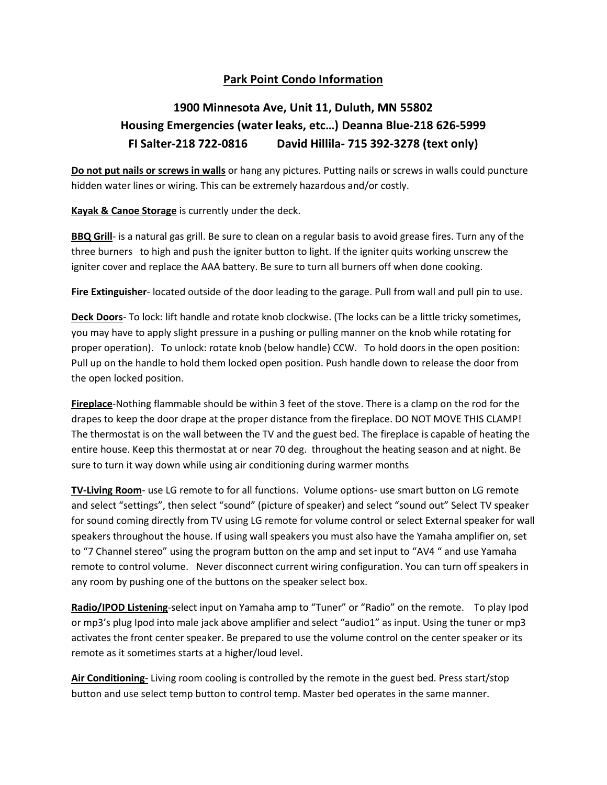## **Park Point Condo Information**

## **1900 Minnesota Ave, Unit 11, Duluth, MN 55802 Housing Emergencies (water leaks, etc…) Deanna Blue-218 626-5999 FI Salter-218 722-0816 David Hillila- 715 392-3278 (text only)**

**Do not put nails or screws in walls** or hang any pictures. Putting nails or screws in walls could puncture hidden water lines or wiring. This can be extremely hazardous and/or costly.

**Kayak & Canoe Storage** is currently under the deck.

**BBQ Grill**- is a natural gas grill. Be sure to clean on a regular basis to avoid grease fires. Turn any of the three burners to high and push the igniter button to light. If the igniter quits working unscrew the igniter cover and replace the AAA battery. Be sure to turn all burners off when done cooking.

**Fire Extinguisher**- located outside of the door leading to the garage. Pull from wall and pull pin to use.

**Deck Doors**- To lock: lift handle and rotate knob clockwise. (The locks can be a little tricky sometimes, you may have to apply slight pressure in a pushing or pulling manner on the knob while rotating for proper operation). To unlock: rotate knob (below handle) CCW. To hold doors in the open position: Pull up on the handle to hold them locked open position. Push handle down to release the door from the open locked position.

**Fireplace**-Nothing flammable should be within 3 feet of the stove. There is a clamp on the rod for the drapes to keep the door drape at the proper distance from the fireplace. DO NOT MOVE THIS CLAMP! The thermostat is on the wall between the TV and the guest bed. The fireplace is capable of heating the entire house. Keep this thermostat at or near 70 deg. throughout the heating season and at night. Be sure to turn it way down while using air conditioning during warmer months

**TV-Living Room**- use LG remote to for all functions. Volume options- use smart button on LG remote and select "settings", then select "sound" (picture of speaker) and select "sound out" Select TV speaker for sound coming directly from TV using LG remote for volume control or select External speaker for wall speakers throughout the house. If using wall speakers you must also have the Yamaha amplifier on, set to "7 Channel stereo" using the program button on the amp and set input to "AV4 " and use Yamaha remote to control volume. Never disconnect current wiring configuration. You can turn off speakers in any room by pushing one of the buttons on the speaker select box.

**Radio/IPOD Listening**-select input on Yamaha amp to "Tuner" or "Radio" on the remote. To play Ipod or mp3's plug Ipod into male jack above amplifier and select "audio1" as input. Using the tuner or mp3 activates the front center speaker. Be prepared to use the volume control on the center speaker or its remote as it sometimes starts at a higher/loud level.

**Air Conditioning**- Living room cooling is controlled by the remote in the guest bed. Press start/stop button and use select temp button to control temp. Master bed operates in the same manner.